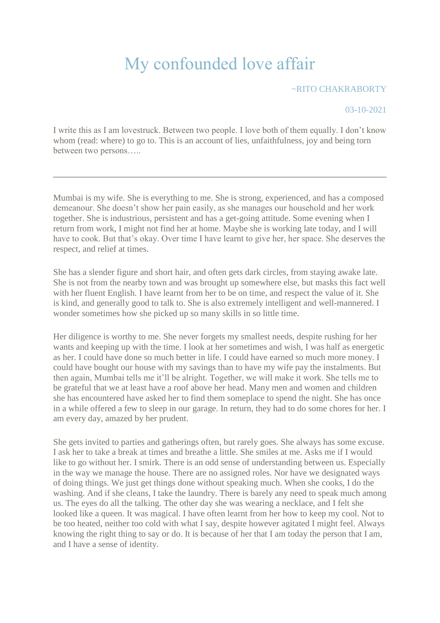## My confounded love affair

~RITO CHAKRABORTY

03-10-2021

I write this as I am lovestruck. Between two people. I love both of them equally. I don't know whom (read: where) to go to. This is an account of lies, unfaithfulness, joy and being torn between two persons…..

Mumbai is my wife. She is everything to me. She is strong, experienced, and has a composed demeanour. She doesn't show her pain easily, as she manages our household and her work together. She is industrious, persistent and has a get-going attitude. Some evening when I return from work, I might not find her at home. Maybe she is working late today, and I will have to cook. But that's okay. Over time I have learnt to give her, her space. She deserves the respect, and relief at times.

She has a slender figure and short hair, and often gets dark circles, from staying awake late. She is not from the nearby town and was brought up somewhere else, but masks this fact well with her fluent English. I have learnt from her to be on time, and respect the value of it. She is kind, and generally good to talk to. She is also extremely intelligent and well-mannered. I wonder sometimes how she picked up so many skills in so little time.

Her diligence is worthy to me. She never forgets my smallest needs, despite rushing for her wants and keeping up with the time. I look at her sometimes and wish, I was half as energetic as her. I could have done so much better in life. I could have earned so much more money. I could have bought our house with my savings than to have my wife pay the instalments. But then again, Mumbai tells me it'll be alright. Together, we will make it work. She tells me to be grateful that we at least have a roof above her head. Many men and women and children she has encountered have asked her to find them someplace to spend the night. She has once in a while offered a few to sleep in our garage. In return, they had to do some chores for her. I am every day, amazed by her prudent.

She gets invited to parties and gatherings often, but rarely goes. She always has some excuse. I ask her to take a break at times and breathe a little. She smiles at me. Asks me if I would like to go without her. I smirk. There is an odd sense of understanding between us. Especially in the way we manage the house. There are no assigned roles. Nor have we designated ways of doing things. We just get things done without speaking much. When she cooks, I do the washing. And if she cleans, I take the laundry. There is barely any need to speak much among us. The eyes do all the talking. The other day she was wearing a necklace, and I felt she looked like a queen. It was magical. I have often learnt from her how to keep my cool. Not to be too heated, neither too cold with what I say, despite however agitated I might feel. Always knowing the right thing to say or do. It is because of her that I am today the person that I am, and I have a sense of identity.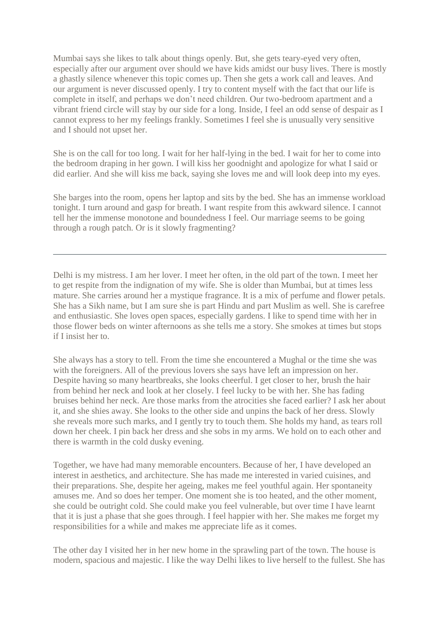Mumbai says she likes to talk about things openly. But, she gets teary-eyed very often, especially after our argument over should we have kids amidst our busy lives. There is mostly a ghastly silence whenever this topic comes up. Then she gets a work call and leaves. And our argument is never discussed openly. I try to content myself with the fact that our life is complete in itself, and perhaps we don't need children. Our two-bedroom apartment and a vibrant friend circle will stay by our side for a long. Inside, I feel an odd sense of despair as I cannot express to her my feelings frankly. Sometimes I feel she is unusually very sensitive and I should not upset her.

She is on the call for too long. I wait for her half-lying in the bed. I wait for her to come into the bedroom draping in her gown. I will kiss her goodnight and apologize for what I said or did earlier. And she will kiss me back, saying she loves me and will look deep into my eyes.

She barges into the room, opens her laptop and sits by the bed. She has an immense workload tonight. I turn around and gasp for breath. I want respite from this awkward silence. I cannot tell her the immense monotone and boundedness I feel. Our marriage seems to be going through a rough patch. Or is it slowly fragmenting?

Delhi is my mistress. I am her lover. I meet her often, in the old part of the town. I meet her to get respite from the indignation of my wife. She is older than Mumbai, but at times less mature. She carries around her a mystique fragrance. It is a mix of perfume and flower petals. She has a Sikh name, but I am sure she is part Hindu and part Muslim as well. She is carefree and enthusiastic. She loves open spaces, especially gardens. I like to spend time with her in those flower beds on winter afternoons as she tells me a story. She smokes at times but stops if I insist her to.

She always has a story to tell. From the time she encountered a Mughal or the time she was with the foreigners. All of the previous lovers she says have left an impression on her. Despite having so many heartbreaks, she looks cheerful. I get closer to her, brush the hair from behind her neck and look at her closely. I feel lucky to be with her. She has fading bruises behind her neck. Are those marks from the atrocities she faced earlier? I ask her about it, and she shies away. She looks to the other side and unpins the back of her dress. Slowly she reveals more such marks, and I gently try to touch them. She holds my hand, as tears roll down her cheek. I pin back her dress and she sobs in my arms. We hold on to each other and there is warmth in the cold dusky evening.

Together, we have had many memorable encounters. Because of her, I have developed an interest in aesthetics, and architecture. She has made me interested in varied cuisines, and their preparations. She, despite her ageing, makes me feel youthful again. Her spontaneity amuses me. And so does her temper. One moment she is too heated, and the other moment, she could be outright cold. She could make you feel vulnerable, but over time I have learnt that it is just a phase that she goes through. I feel happier with her. She makes me forget my responsibilities for a while and makes me appreciate life as it comes.

The other day I visited her in her new home in the sprawling part of the town. The house is modern, spacious and majestic. I like the way Delhi likes to live herself to the fullest. She has